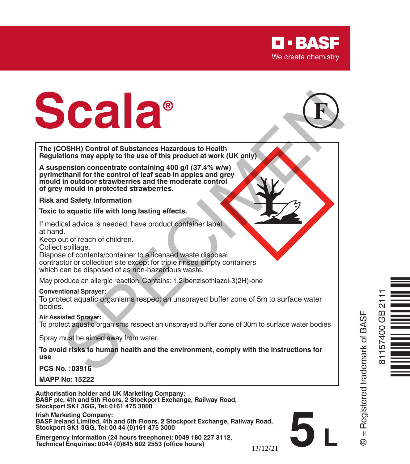

# **Scala®** OSHH) Control of Substances Hazardous to Health<br>tilons may apply to the use of this product at work (UK only)<br>tinential for the control of lead scab in apples and grev<br>than in for the control of lead scab in apples and gre



**The (COSHH) Control of Substances Hazardous to Health Regulations may apply to the use of this product at work (UK only)**

**A suspension concentrate containing 400 g/l (37.4% w/w) pyrimethanil for the control of leaf scab in apples and grey mould in outdoor strawberries and the moderate control of grey mould in protected strawberries.**

**Risk and Safety Information**

**Toxic to aquatic life with long lasting effects.**

If medical advice is needed, have product container label at hand.

Keep out of reach of children.

Collect spillage.

Dispose of contents/container to a licensed waste disposal contractor or collection site except for triple rinsed empty containers which can be disposed of as non-hazardous waste.

May produce an allergic reaction. Contains: 1,2-benzisothiazol-3(2H)-one

**Conventional Sprayer:**

To protect aquatic organisms respect an unsprayed buffer zone of 5m to surface water bodies.

**Air Assisted Sprayer:**

To protect aquatic organisms respect an unsprayed buffer zone of 30m to surface water bodies

Spray must be aimed away from water.

**To avoid risks to human health and the environment, comply with the instructions for use**

**PCS No. : 03916**

**MAPP No: 15222**

**Authorisation holder and UK Marketing Company: BASF plc, 4th and 5th Floors, 2 Stockport Exchange, Railway Road, Stockport SK1 3GG, Tel: 0161 475 3000**

**Irish Marketing Company: BASF Ireland Limited, 4th and 5th Floors, 2 Stockport Exchange, Railway Road, Stockport SK1 3GG, Tel: 00 44 (0)161 475 3000**

**Emergency Information (24 hours freephone): 0049 180 227 3112, Technical Enquiries: 0044 (0)845 602 2553 (office hours)**



® = Registered trademark of BASF

= Registered trademark of BASF

**5 L**

13/12/21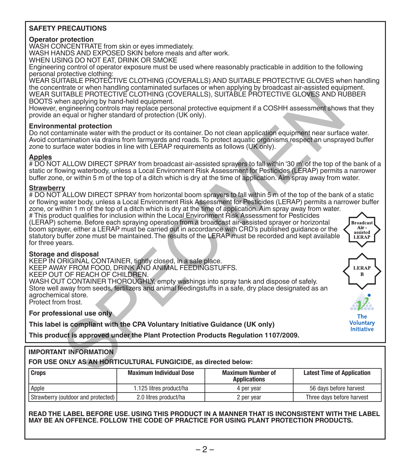### **SAFETY PRECAUTIONS**

### **Operator protection**

WASH CONCENTRATE from skin or eyes immediately. WASH HANDS AND EXPOSED SKIN before meals and after work.

WHEN USING DO NOT EAT, DRINK OR SMOKE

Engineering control of operator exposure must be used where reasonably practicable in addition to the following personal protective clothing:

WEAR SUITABLE PROTECTIVE CLOTHING (COVERALLS) AND SUITABLE PROTECTIVE GLOVES when handling the concentrate or when handling contaminated surfaces or when applying by broadcast air-assisted equipment. WEAR SUITABLE PROTECTIVE CLOTHING (COVERALLS), SUITABLE PROTECTIVE GLOVES AND RUBBER BOOTS when applying by hand-held equipment.

However, engineering controls may replace personal protective equipment if a COSHH assessment shows that they provide an equal or higher standard of protection (UK only).

### **Environmental protection**

Do not contaminate water with the product or its container. Do not clean application equipment near surface water. Avoid contamination via drains from farmyards and roads. To protect aquatic organisms respect an unsprayed buffer zone to surface water bodies in line with LERAP requirements as follows (UK only).

### **Apples**

# DO NOT ALLOW DIRECT SPRAY from broadcast air-assisted sprayers to fall within '30 m' of the top of the bank of a static or flowing waterbody, unless a Local Environment Risk Assessment for Pesticides (LERAP) permits a narrower buffer zone, or within 5 m of the top of a ditch which is dry at the time of application. Aim spray away from water.

### **Strawberry**

for three years.

# DO NOT ALLOW DIRECT SPRAY from horizontal boom sprayers to fall within 5 m of the top of the bank of a static or flowing water body, unless a Local Environment Risk Assessment for Pesticides (LERAP) permits a narrower buffer zone, or within 1 m of the top of a ditch which is dry at the time of application. Aim spray away from water.

# This product qualifies for inclusion within the Local Environment Risk Assessment for Pesticides (LERAP) scheme. Before each spraying operation from a broadcast air-assisted sprayer or horizontal boom sprayer, either a LERAP must be carried out in accordance with CRD's published guidance or the statutory buffer zone must be maintained. The results of the LERAP must be recorded and kept available TRAILE PROTECTIVE CLOTHING (COVERALLS), SUITABLE PROTECTIVE GLOVES AND RIVE (TREAT THE ARP INCREDITED (SUCTIVE COLONERALLS) (THE ARP INCREDITED (I.E., and an interded particular equipment in a COSHH assessment shows replac

**Broadcast** Air. assisted LERAP

> LERAI R

The Voluntary Initiative

### **Storage and disposal**

KEEP IN ORIGINAL CONTAINER, tightly closed, in a safe place.

KEEP AWAY FROM FOOD, DRINK AND ANIMAL FEEDINGSTUFFS.<br>KEEP OUT OF BEACH OF CHILDBEN

KEEP OUT OF REACH OF CHILDREN. WASH OUT CONTAINER THOROUGHLY, empty washings into spray tank and dispose of safely. Store well away from seeds, fertilizers and animal feedingstuffs in a safe, dry place designated as an agrochemical store.

Protect from frost.

**For professional use only**

**This label is compliant with the CPA Voluntary Initiative Guidance (UK only)**

**This product is approved under the Plant Protection Products Regulation 1107/2009.**

### **IMPORTANT INFORMATION**

**FOR USE ONLY AS AN HORTICULTURAL FUNGICIDE, as directed below:**

| <b>Crops</b>                       | <b>Maximum Individual Dose</b> | <b>Maximum Number of</b><br><b>Applications</b> | <b>Latest Time of Application</b> |
|------------------------------------|--------------------------------|-------------------------------------------------|-----------------------------------|
| Apple                              | 1.125 litres product/ha        | 4 per vear                                      | 56 days before harvest            |
| Strawberry (outdoor and protected) | 2.0 litres product/ha          | 2 per year                                      | Three days before harvest         |

**READ THE LABEL BEFORE USE. USING THIS PRODUCT IN A MANNER THAT IS INCONSISTENT WITH THE LABEL MAY BE AN OFFENCE. FOLLOW THE CODE OF PRACTICE FOR USING PLANT PROTECTION PRODUCTS.**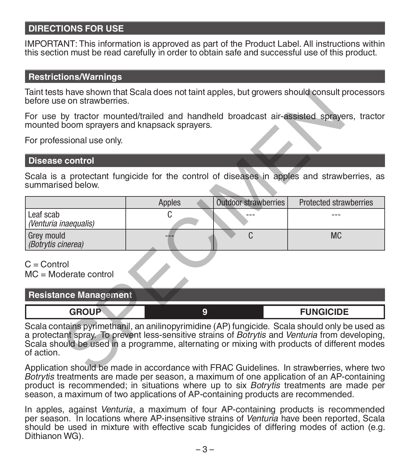# **DIRECTIONS FOR USE**

IMPORTANT: This information is approved as part of the Product Label. All instructions within this section must be read carefully in order to obtain safe and successful use of this product.

### **Restrictions/Warnings**

Taint tests have shown that Scala does not taint apples, but growers should consult processors before use on strawberries.

### **Disease control**

| Taint tests have shown that Scala does not taint apples, but growers should consult processors<br>before use on strawberries.                                                                                                                                                                                                |        |                             |                        |
|------------------------------------------------------------------------------------------------------------------------------------------------------------------------------------------------------------------------------------------------------------------------------------------------------------------------------|--------|-----------------------------|------------------------|
| For use by tractor mounted/trailed and handheld broadcast air-assisted sprayers, tractor<br>mounted boom sprayers and knapsack sprayers.                                                                                                                                                                                     |        |                             |                        |
| For professional use only.                                                                                                                                                                                                                                                                                                   |        |                             |                        |
| <b>Disease control</b>                                                                                                                                                                                                                                                                                                       |        |                             |                        |
| Scala is a protectant fungicide for the control of diseases in apples and strawberries, as<br>summarised below.                                                                                                                                                                                                              |        |                             |                        |
|                                                                                                                                                                                                                                                                                                                              | Apples | <b>Outdoor strawberries</b> | Protected strawberries |
| Leaf scab<br>(Venturia inaequalis)                                                                                                                                                                                                                                                                                           | C      |                             |                        |
| Grey mould<br>(Botrytis cinerea)                                                                                                                                                                                                                                                                                             |        | C                           | <b>MC</b>              |
| $C =$ Control<br>$MC = Modelrate control$                                                                                                                                                                                                                                                                                    |        |                             |                        |
| <b>Resistance Management</b>                                                                                                                                                                                                                                                                                                 |        |                             |                        |
| <b>GROUP</b>                                                                                                                                                                                                                                                                                                                 | 9      |                             | <b>FUNGICIDE</b>       |
| Scala contains pyrimethanil, an anilinopyrimidine (AP) fungicide. Scala should only be used as<br>a protectant spray. To prevent less-sensitive strains of <i>Botrytis</i> and <i>Venturia</i> from developing,<br>Scala should be used in a programme, alternating or mixing with products of different modes<br>of action. |        |                             |                        |
| Application should be made in accordance with FRAC Guidelines. In strawberries, where two                                                                                                                                                                                                                                    |        |                             |                        |

| CDOUD | <b>FUNGICIDE</b> |
|-------|------------------|
|       |                  |

Application should be made in accordance with FRAC Guidelines. In strawberries, where two *Botrytis* treatments are made per season, a maximum of one application of an AP-containing product is recommended; in situations where up to six *Botrytis* treatments are made per season, a maximum of two applications of AP-containing products are recommended.

In apples, against *Venturia*, a maximum of four AP-containing products is recommended per season. In locations where AP-insensitive strains of *Venturia* have been reported, Scala should be used in mixture with effective scab fungicides of differing modes of action (e.g. Dithianon WG).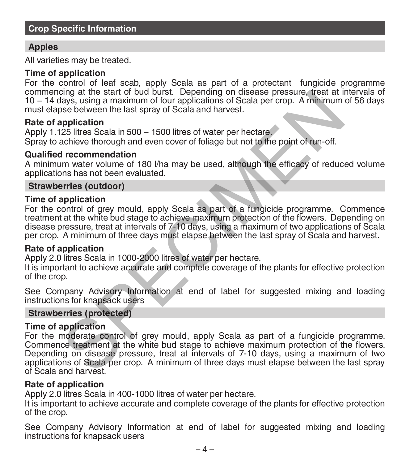### **Crop Specific Information**

# **Apples**

All varieties may be treated.

### **Time of application**

For the control of leaf scab, apply Scala as part of a protectant fungicide programme commencing at the start of bud burst. Depending on disease pressure, treat at intervals of 10 − 14 days, using a maximum of four applications of Scala per crop. A minimum of 56 days must elapse between the last spray of Scala and harvest.

### **Rate of application**

Apply 1.125 litres Scala in 500 − 1500 litres of water per hectare. Spray to achieve thorough and even cover of foliage but not to the point of run-off.

### **Qualified recommendation**

A minimum water volume of 180 l/ha may be used, although the efficacy of reduced volume applications has not been evaluated.

### **Strawberries (outdoor)**

### **Time of application**

For the control of grey mould, apply Scala as part of a fungicide programme. Commence treatment at the white bud stage to achieve maximum protection of the flowers. Depending on disease pressure, treat at intervals of 7-10 days, using a maximum of two applications of Scala per crop. A minimum of three days must elapse between the last spray of Scala and harvest.

### **Rate of application**

Apply 2.0 litres Scala in 1000-2000 litres of water per hectare.

It is important to achieve accurate and complete coverage of the plants for effective protection of the crop.

See Company Advisory Information at end of label for suggested mixing and loading instructions for knapsack users

### **Strawberries (protected)**

## **Time of application**

For the moderate control of grey mould, apply Scala as part of a fungicide programme. Commence treatment at the white bud stage to achieve maximum protection of the flowers. Depending on disease pressure, treat at intervals of 7-10 days, using a maximum of two applications of Scala per crop. A minimum of three days must elapse between the last spray of Scala and harvest. Ding at the start of bud burst. Uepending on disease pressure, treat at intervals<br>alays, using a maximum of four applications of Scala per crop. A minimum<br>see between the last spray of Scala and harvest.<br>25 litres Scala in

### **Rate of application**

Apply 2.0 litres Scala in 400-1000 litres of water per hectare.

It is important to achieve accurate and complete coverage of the plants for effective protection of the crop.

See Company Advisory Information at end of label for suggested mixing and loading instructions for knapsack users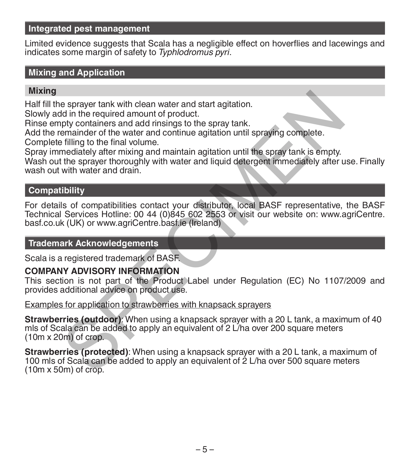# **Integrated pest management**

Limited evidence suggests that Scala has a negligible effect on hoverflies and lacewings and indicates some margin of safety to *Typhlodromus pyri*.

# **Mixing and Application**

### **Mixing**

Half fill the sprayer tank with clean water and start agitation.

Slowly add in the required amount of product.

Rinse empty containers and add rinsings to the spray tank.

Add the remainder of the water and continue agitation until spraying complete. Complete filling to the final volume.

Spray immediately after mixing and maintain agitation until the spray tank is empty.

Wash out the sprayer thoroughly with water and liquid detergent immediately after use. Finally wash out with water and drain.

# **Compatibility**

For details of compatibilities contact your distributor, local BASF representative, the BASF Technical Services Hotline: 00 44 (0)845 602 2553 or visit our website on: www.agriCentre. basf.co.uk (UK) or www.agriCentre.basf.ie (Ireland)

# **Trademark Acknowledgements**

Scala is a registered trademark of BASF.

# **COMPANY ADVISORY INFORMATION**

This section is not part of the Product Label under Regulation (EC) No 1107/2009 and provides additional advice on product use.

Examples for application to strawberries with knapsack sprayers

**Strawberries (outdoor):** When using a knapsack sprayer with a 20 L tank, a maximum of 40 mls of Scala can be added to apply an equivalent of 2 L/ha over 200 square meters (10m x 20m) of crop.

**Strawberries (protected)**: When using a knapsack sprayer with a 20 L tank, a maximum of 100 mls of Scala can be added to apply an equivalent of 2 L/ha over 500 square meters (10m x 50m) of crop. e sprayer tank with clean water and start agitation.<br>
Id in the required amount of product.<br>
Demainder of the water and continue agitation until spraying complete.<br>
Effiling to the final volume.<br>
Effiling to the final volu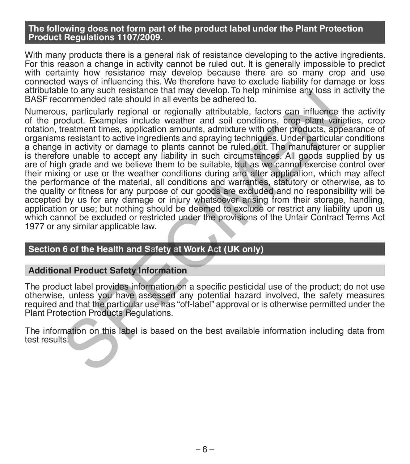### **The following does not form part of the product label under the Plant Protection Product Regulations 1107/2009.**

With many products there is a general risk of resistance developing to the active ingredients. For this reason a change in activity cannot be ruled out. It is generally impossible to predict with certainty how resistance may develop because there are so many crop and use<br>connected ways of influencing this. We therefore have to exclude liability for damage or loss attributable to any such resistance that may develop. To help minimise any loss in activity the BASF recommended rate should in all events be adhered to.

Numerous, particularly regional or regionally attributable, factors can influence the activity of the product. Examples include weather and soil conditions, crop plant varieties, crop rotation, treatment times, application amounts, admixture with other products, appearance of organisms resistant to active ingredients and spraying techniques. Under particular conditions a change in activity or damage to plants cannot be ruled out. The manufacturer or supplier is therefore unable to accept any liability in such circumstances. All goods supplied by us are of high grade and we believe them to be suitable, but as we cannot exercise control over their mixing or use or the weather conditions during and after application, which may affect the performance of the material, all conditions and warranties, statutory or otherwise, as to the quality or fitness for any purpose of our goods are excluded and no responsibility will be accepted by us for any damage or injury whatsoever arising from their storage, handling, application or use; but nothing should be deemed to exclude or restrict any liability upon us which cannot be excluded or restricted under the provisions of the Unfair Contract Terms Act 1977 or any similar applicable law. in the mail static metallical that may determine any description including the commended rate should in all events be adhered to.<br>
S, particularly regional or regionally attributable, factors can influence to control. Exam

## **Section 6 of the Health and Safety at Work Act (UK only)**

### **Additional Product Safety Information**

The product label provides information on a specific pesticidal use of the product; do not use otherwise, unless you have assessed any potential hazard involved, the safety measures required and that the particular use has "off-label" approval or is otherwise permitted under the Plant Protection Products Regulations.

The information on this label is based on the best available information including data from test results.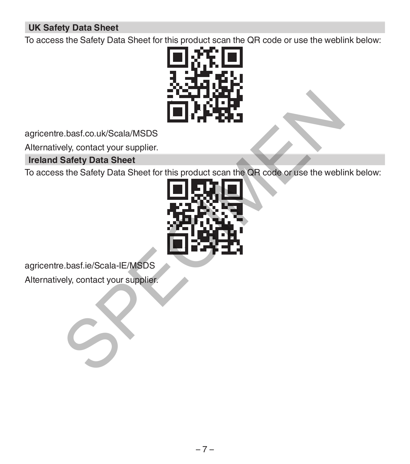# **UK Safety Data Sheet**

To access the Safety Data Sheet for this product scan the QR code or use the weblink below:



agricentre.basf.co.uk/Scala/MSDS

Alternatively, contact your supplier.

# **Ireland Safety Data Sheet**

To access the Safety Data Sheet for this product scan the QR code or use the weblink below:



agricentre.basf.ie/Scala-IE/MSDS

Alternatively, contact your supplier.